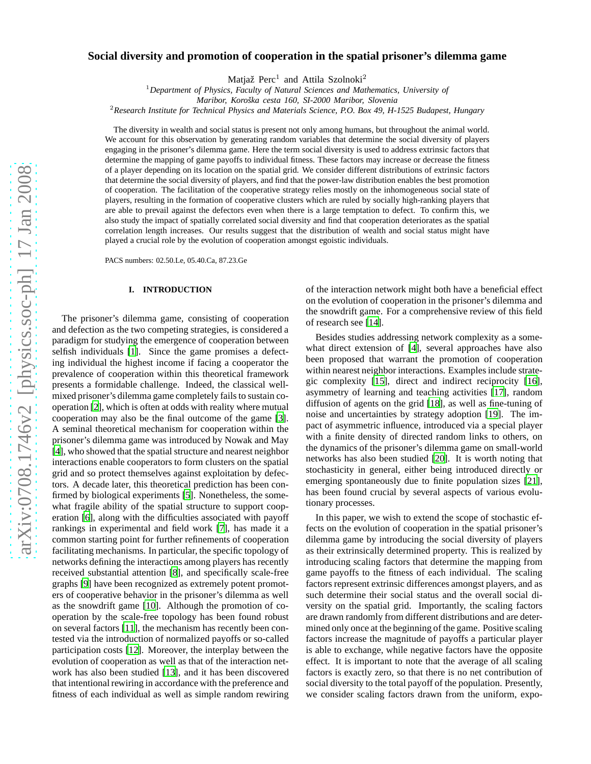# **Social diversity and promotion of cooperation in the spatial prisoner's dilemma game**

Matjaž Perc<sup>1</sup> and Attila Szolnoki<sup>2</sup>

<sup>1</sup>*Department of Physics, Faculty of Natural Sciences and Mathematics, University of*

<sup>2</sup>*Research Institute for Technical Physics and Materials Science, P.O. Box 49, H-1525 Budapest, Hungary*

The diversity in wealth and social status is present not only among humans, but throughout the animal world. We account for this observation by generating random variables that determine the social diversity of players engaging in the prisoner's dilemma game. Here the term social diversity is used to address extrinsic factors that determine the mapping of game payoffs to individual fitness. These factors may increase or decrease the fitness of a player depending on its location on the spatial grid. We consider different distributions of extrinsic factors that determine the social diversity of players, and find that the power-law distribution enables the best promotion of cooperation. The facilitation of the cooperative strategy relies mostly on the inhomogeneous social state of players, resulting in the formation of cooperative clusters which are ruled by socially high-ranking players that are able to prevail against the defectors even when there is a large temptation to defect. To confirm this, we also study the impact of spatially correlated social diversity and find that cooperation deteriorates as the spatial correlation length increases. Our results suggest that the distribution of wealth and social status might have played a crucial role by the evolution of cooperation amongst egoistic individuals.

PACS numbers: 02.50.Le, 05.40.Ca, 87.23.Ge

## **I. INTRODUCTION**

The prisoner's dilemma game, consisting of cooperation and defection as the two competing strategies, is considered a paradigm for studying the emergence of cooperation between selfish individuals [\[1](#page-4-0)]. Since the game promises a defecting individual the highest income if facing a cooperator the prevalence of cooperation within this theoretical framework presents a formidable challenge. Indeed, the classical wellmixed prisoner's dilemma game completely fails to sustain cooperation [\[2\]](#page-4-1), which is often at odds with reality where mutual cooperation may also be the final outcome of the game [\[3](#page-4-2)]. A seminal theoretical mechanism for cooperation within the prisoner's dilemma game was introduced by Nowak and May [\[4](#page-4-3)], who showed that the spatial structure and nearest neighbor interactions enable cooperators to form clusters on the spatial grid and so protect themselves against exploitation by defectors. A decade later, this theoretical prediction has been confirmed by biological experiments [\[5](#page-4-4)]. Nonetheless, the somewhat fragile ability of the spatial structure to support cooperation [\[6\]](#page-4-5), along with the difficulties associated with payoff rankings in experimental and field work [\[7](#page-4-6)], has made it a common starting point for further refinements of cooperation facilitating mechanisms. In particular, the specific topology of networks defining the interactions among players has recently received substantial attention [\[8\]](#page-4-7), and specifically scale-free graphs [\[9\]](#page-4-8) have been recognized as extremely potent promoters of cooperative behavior in the prisoner's dilemma as well as the snowdrift game [\[10](#page-4-9)]. Although the promotion of cooperation by the scale-free topology has been found robust on several factors [\[11](#page-4-10)], the mechanism has recently been contested via the introduction of normalized payoffs or so-called participation costs [\[12\]](#page-4-11). Moreover, the interplay between the evolution of cooperation as well as that of the interaction network has also been studied [\[13\]](#page-4-12), and it has been discovered that intentional rewiring in accordance with the preference and fitness of each individual as well as simple random rewiring of the interaction network might both have a beneficial effect on the evolution of cooperation in the prisoner's dilemma and the snowdrift game. For a comprehensive review of this field of research see [\[14\]](#page-4-13).

Besides studies addressing network complexity as a somewhat direct extension of [\[4](#page-4-3)], several approaches have also been proposed that warrant the promotion of cooperation within nearest neighbor interactions. Examples include strategic complexity [\[15](#page-4-14)], direct and indirect reciprocity [\[16](#page-4-15)], asymmetry of learning and teaching activities [\[17\]](#page-4-16), random diffusion of agents on the grid [\[18\]](#page-4-17), as well as fine-tuning of noise and uncertainties by strategy adoption [\[19](#page-4-18)]. The impact of asymmetric influence, introduced via a special player with a finite density of directed random links to others, on the dynamics of the prisoner's dilemma game on small-world networks has also been studied [\[20\]](#page-4-19). It is worth noting that stochasticity in general, either being introduced directly or emerging spontaneously due to finite population sizes [\[21](#page-4-20)], has been found crucial by several aspects of various evolutionary processes.

In this paper, we wish to extend the scope of stochastic effects on the evolution of cooperation in the spatial prisoner's dilemma game by introducing the social diversity of players as their extrinsically determined property. This is realized by introducing scaling factors that determine the mapping from game payoffs to the fitness of each individual. The scaling factors represent extrinsic differences amongst players, and as such determine their social status and the overall social diversity on the spatial grid. Importantly, the scaling factors are drawn randomly from different distributions and are determined only once at the beginning of the game. Positive scaling factors increase the magnitude of payoffs a particular player is able to exchange, while negative factors have the opposite effect. It is important to note that the average of all scaling factors is exactly zero, so that there is no net contribution of social diversity to the total payoff of the population. Presently, we consider scaling factors drawn from the uniform, expo-

*Maribor, Koroˇska cesta 160, SI-2000 Maribor, Slovenia*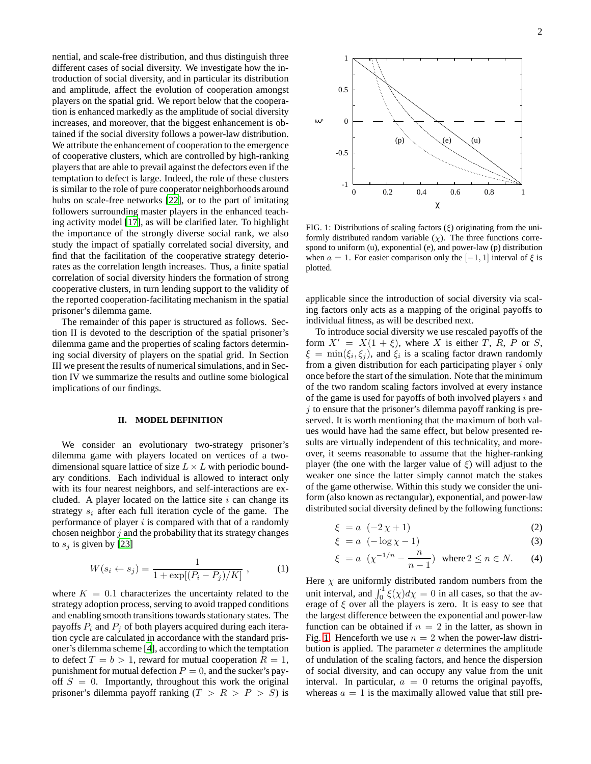nential, and scale-free distribution, and thus distinguish three different cases of social diversity. We investigate how the introduction of social diversity, and in particular its distribution and amplitude, affect the evolution of cooperation amongst players on the spatial grid. We report below that the cooperation is enhanced markedly as the amplitude of social diversity increases, and moreover, that the biggest enhancement is obtained if the social diversity follows a power-law distribution. We attribute the enhancement of cooperation to the emergence of cooperative clusters, which are controlled by high-ranking players that are able to prevail against the defectors even if the temptation to defect is large. Indeed, the role of these clusters is similar to the role of pure cooperator neighborhoods around hubs on scale-free networks [\[22\]](#page-4-21), or to the part of imitating followers surrounding master players in the enhanced teaching activity model [\[17\]](#page-4-16), as will be clarified later. To highlight the importance of the strongly diverse social rank, we also study the impact of spatially correlated social diversity, and find that the facilitation of the cooperative strategy deteriorates as the correlation length increases. Thus, a finite spatial correlation of social diversity hinders the formation of strong cooperative clusters, in turn lending support to the validity of the reported cooperation-facilitating mechanism in the spatial prisoner's dilemma game.

The remainder of this paper is structured as follows. Section II is devoted to the description of the spatial prisoner's dilemma game and the properties of scaling factors determining social diversity of players on the spatial grid. In Section III we present the results of numerical simulations, and in Section IV we summarize the results and outline some biological implications of our findings.

#### **II. MODEL DEFINITION**

We consider an evolutionary two-strategy prisoner's dilemma game with players located on vertices of a twodimensional square lattice of size  $L \times L$  with periodic boundary conditions. Each individual is allowed to interact only with its four nearest neighbors, and self-interactions are excluded. A player located on the lattice site  $i$  can change its strategy  $s_i$  after each full iteration cycle of the game. The performance of player  $i$  is compared with that of a randomly chosen neighbor  $j$  and the probability that its strategy changes to  $s_i$  is given by [\[23\]](#page-4-22)

<span id="page-1-1"></span>
$$
W(s_i \leftarrow s_j) = \frac{1}{1 + \exp[(P_i - P_j)/K]},
$$
 (1)

where  $K = 0.1$  characterizes the uncertainty related to the strategy adoption process, serving to avoid trapped conditions and enabling smooth transitions towards stationary states. The payoffs  $P_i$  and  $P_j$  of both players acquired during each iteration cycle are calculated in accordance with the standard prisoner's dilemma scheme [\[4](#page-4-3)], according to which the temptation to defect  $T = b > 1$ , reward for mutual cooperation  $R = 1$ , punishment for mutual defection  $P = 0$ , and the sucker's payoff  $S = 0$ . Importantly, throughout this work the original prisoner's dilemma payoff ranking  $(T > R > P > S)$  is



<span id="page-1-0"></span>FIG. 1: Distributions of scaling factors  $(\xi)$  originating from the uniformly distributed random variable  $(\chi)$ . The three functions correspond to uniform (u), exponential (e), and power-law (p) distribution when  $a = 1$ . For easier comparison only the [-1, 1] interval of  $\xi$  is plotted.

applicable since the introduction of social diversity via scaling factors only acts as a mapping of the original payoffs to individual fitness, as will be described next.

To introduce social diversity we use rescaled payoffs of the form  $X' = X(1 + \xi)$ , where X is either T, R, P or S,  $\xi = \min(\xi_i, \xi_j)$ , and  $\xi_i$  is a scaling factor drawn randomly from a given distribution for each participating player  $i$  only once before the start of the simulation. Note that the minimum of the two random scaling factors involved at every instance of the game is used for payoffs of both involved players  $i$  and  $\dot{\gamma}$  to ensure that the prisoner's dilemma payoff ranking is preserved. It is worth mentioning that the maximum of both values would have had the same effect, but below presented results are virtually independent of this technicality, and moreover, it seems reasonable to assume that the higher-ranking player (the one with the larger value of  $\xi$ ) will adjust to the weaker one since the latter simply cannot match the stakes of the game otherwise. Within this study we consider the uniform (also known as rectangular), exponential, and power-law distributed social diversity defined by the following functions:

$$
\xi = a \quad (-2\,\chi + 1) \tag{2}
$$

$$
\xi = a \left( -\log \chi - 1 \right) \tag{3}
$$

$$
\xi = a \left( \chi^{-1/n} - \frac{n}{n-1} \right)
$$
 where  $2 \le n \in N$ . (4)

Here  $\chi$  are uniformly distributed random numbers from the unit interval, and  $\int_0^1 \xi(\chi) d\chi = 0$  in all cases, so that the average of  $\xi$  over all the players is zero. It is easy to see that the largest difference between the exponential and power-law function can be obtained if  $n = 2$  in the latter, as shown in Fig. [1.](#page-1-0) Henceforth we use  $n = 2$  when the power-law distribution is applied. The parameter  $\alpha$  determines the amplitude of undulation of the scaling factors, and hence the dispersion of social diversity, and can occupy any value from the unit interval. In particular,  $a = 0$  returns the original payoffs, whereas  $a = 1$  is the maximally allowed value that still pre-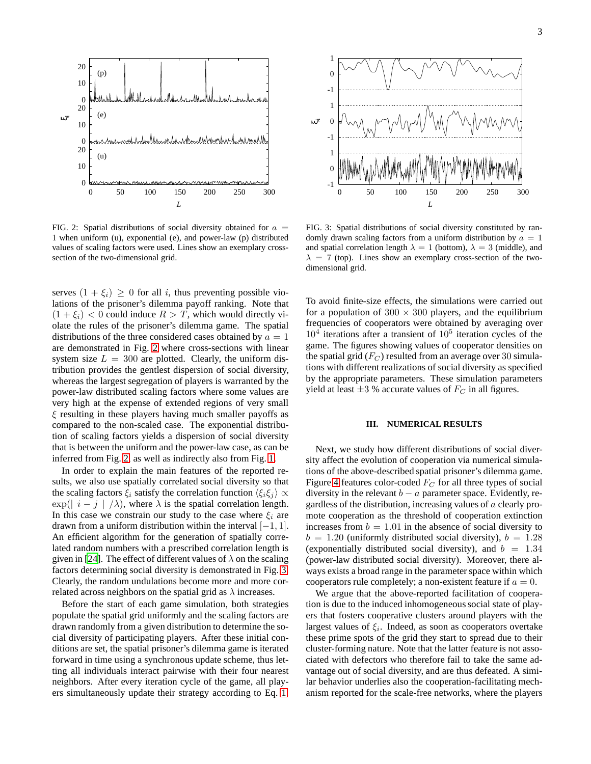

<span id="page-2-0"></span>FIG. 2: Spatial distributions of social diversity obtained for  $a =$ 1 when uniform (u), exponential (e), and power-law (p) distributed values of scaling factors were used. Lines show an exemplary crosssection of the two-dimensional grid.

serves  $(1 + \xi_i) \geq 0$  for all i, thus preventing possible violations of the prisoner's dilemma payoff ranking. Note that  $(1 + \xi_i)$  < 0 could induce  $R > T$ , which would directly violate the rules of the prisoner's dilemma game. The spatial distributions of the three considered cases obtained by  $a = 1$ are demonstrated in Fig. [2](#page-2-0) where cross-sections with linear system size  $L = 300$  are plotted. Clearly, the uniform distribution provides the gentlest dispersion of social diversity, whereas the largest segregation of players is warranted by the power-law distributed scaling factors where some values are very high at the expense of extended regions of very small  $\xi$  resulting in these players having much smaller payoffs as compared to the non-scaled case. The exponential distribution of scaling factors yields a dispersion of social diversity that is between the uniform and the power-law case, as can be inferred from Fig. [2,](#page-2-0) as well as indirectly also from Fig. [1.](#page-1-0)

In order to explain the main features of the reported results, we also use spatially correlated social diversity so that the scaling factors  $\xi_i$  satisfy the correlation function  $\langle \xi_i \xi_j \rangle \propto$  $\exp(|i-j|/\lambda)$ , where  $\lambda$  is the spatial correlation length. In this case we constrain our study to the case where  $\xi_i$  are drawn from a uniform distribution within the interval  $[-1, 1]$ . An efficient algorithm for the generation of spatially correlated random numbers with a prescribed correlation length is given in [\[24](#page-4-23)]. The effect of different values of  $\lambda$  on the scaling factors determining social diversity is demonstrated in Fig. [3.](#page-2-1) Clearly, the random undulations become more and more correlated across neighbors on the spatial grid as  $\lambda$  increases.

Before the start of each game simulation, both strategies populate the spatial grid uniformly and the scaling factors are drawn randomly from a given distribution to determine the social diversity of participating players. After these initial conditions are set, the spatial prisoner's dilemma game is iterated forward in time using a synchronous update scheme, thus letting all individuals interact pairwise with their four nearest neighbors. After every iteration cycle of the game, all players simultaneously update their strategy according to Eq. [1.](#page-1-1)



<span id="page-2-1"></span>FIG. 3: Spatial distributions of social diversity constituted by randomly drawn scaling factors from a uniform distribution by  $a = 1$ and spatial correlation length  $\lambda = 1$  (bottom),  $\lambda = 3$  (middle), and  $\lambda = 7$  (top). Lines show an exemplary cross-section of the twodimensional grid.

To avoid finite-size effects, the simulations were carried out for a population of  $300 \times 300$  players, and the equilibrium frequencies of cooperators were obtained by averaging over  $10<sup>4</sup>$  iterations after a transient of  $10<sup>5</sup>$  iteration cycles of the game. The figures showing values of cooperator densities on the spatial grid  $(F_C)$  resulted from an average over 30 simulations with different realizations of social diversity as specified by the appropriate parameters. These simulation parameters yield at least  $\pm 3$  % accurate values of  $F_C$  in all figures.

## **III. NUMERICAL RESULTS**

Next, we study how different distributions of social diversity affect the evolution of cooperation via numerical simulations of the above-described spatial prisoner's dilemma game. Figure [4](#page-3-0) features color-coded  $F_C$  for all three types of social diversity in the relevant  $b - a$  parameter space. Evidently, regardless of the distribution, increasing values of  $a$  clearly promote cooperation as the threshold of cooperation extinction increases from  $b = 1.01$  in the absence of social diversity to  $b = 1.20$  (uniformly distributed social diversity),  $b = 1.28$ (exponentially distributed social diversity), and  $b = 1.34$ (power-law distributed social diversity). Moreover, there always exists a broad range in the parameter space within which cooperators rule completely; a non-existent feature if  $a = 0$ .

We argue that the above-reported facilitation of cooperation is due to the induced inhomogeneous social state of players that fosters cooperative clusters around players with the largest values of  $\xi_i$ . Indeed, as soon as cooperators overtake these prime spots of the grid they start to spread due to their cluster-forming nature. Note that the latter feature is not associated with defectors who therefore fail to take the same advantage out of social diversity, and are thus defeated. A similar behavior underlies also the cooperation-facilitating mechanism reported for the scale-free networks, where the players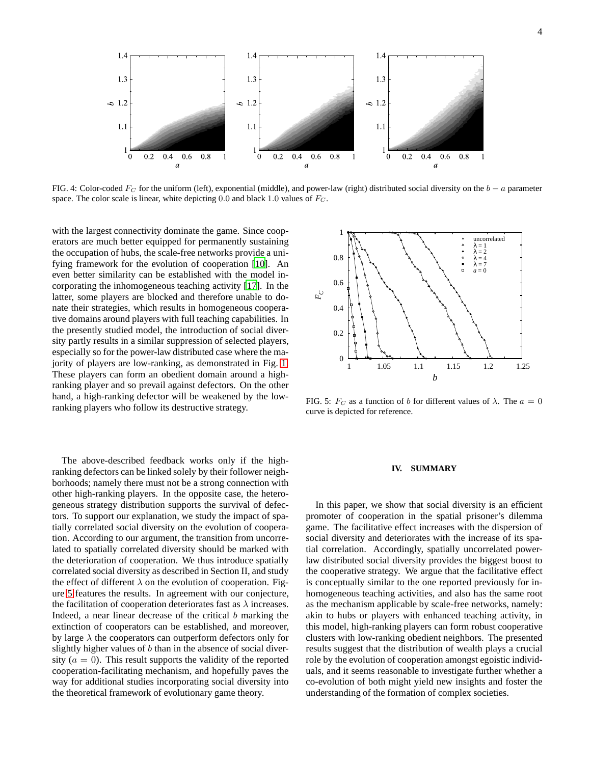

<span id="page-3-0"></span>FIG. 4: Color-coded  $F_C$  for the uniform (left), exponential (middle), and power-law (right) distributed social diversity on the  $b - a$  parameter space. The color scale is linear, white depicting 0.0 and black 1.0 values of  $F_C$ .

with the largest connectivity dominate the game. Since cooperators are much better equipped for permanently sustaining the occupation of hubs, the scale-free networks provide a unifying framework for the evolution of cooperation [\[10](#page-4-9)]. An even better similarity can be established with the model incorporating the inhomogeneous teaching activity [\[17\]](#page-4-16). In the latter, some players are blocked and therefore unable to donate their strategies, which results in homogeneous cooperative domains around players with full teaching capabilities. In the presently studied model, the introduction of social diversity partly results in a similar suppression of selected players, especially so for the power-law distributed case where the majority of players are low-ranking, as demonstrated in Fig. [1.](#page-1-0) These players can form an obedient domain around a highranking player and so prevail against defectors. On the other hand, a high-ranking defector will be weakened by the lowranking players who follow its destructive strategy.

The above-described feedback works only if the highranking defectors can be linked solely by their follower neighborhoods; namely there must not be a strong connection with other high-ranking players. In the opposite case, the heterogeneous strategy distribution supports the survival of defectors. To support our explanation, we study the impact of spatially correlated social diversity on the evolution of cooperation. According to our argument, the transition from uncorrelated to spatially correlated diversity should be marked with the deterioration of cooperation. We thus introduce spatially correlated social diversity as described in Section II, and study the effect of different  $\lambda$  on the evolution of cooperation. Figure [5](#page-3-1) features the results. In agreement with our conjecture, the facilitation of cooperation deteriorates fast as  $\lambda$  increases. Indeed, a near linear decrease of the critical  $b$  marking the extinction of cooperators can be established, and moreover, by large  $\lambda$  the cooperators can outperform defectors only for slightly higher values of b than in the absence of social diversity ( $a = 0$ ). This result supports the validity of the reported cooperation-facilitating mechanism, and hopefully paves the way for additional studies incorporating social diversity into the theoretical framework of evolutionary game theory.



<span id="page-3-1"></span>FIG. 5:  $F_C$  as a function of b for different values of  $\lambda$ . The  $a = 0$ curve is depicted for reference.

#### **IV. SUMMARY**

In this paper, we show that social diversity is an efficient promoter of cooperation in the spatial prisoner's dilemma game. The facilitative effect increases with the dispersion of social diversity and deteriorates with the increase of its spatial correlation. Accordingly, spatially uncorrelated powerlaw distributed social diversity provides the biggest boost to the cooperative strategy. We argue that the facilitative effect is conceptually similar to the one reported previously for inhomogeneous teaching activities, and also has the same root as the mechanism applicable by scale-free networks, namely: akin to hubs or players with enhanced teaching activity, in this model, high-ranking players can form robust cooperative clusters with low-ranking obedient neighbors. The presented results suggest that the distribution of wealth plays a crucial role by the evolution of cooperation amongst egoistic individuals, and it seems reasonable to investigate further whether a co-evolution of both might yield new insights and foster the understanding of the formation of complex societies.